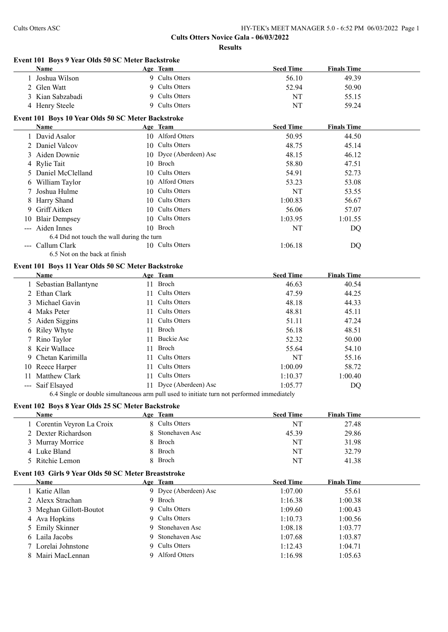**Cults Otters Novice Gala - 06/03/2022**

**Results**

#### **Event 101 Boys 9 Year Olds 50 SC Meter Backstroke**

|    | Name                                               |    | Age Team               | <b>Seed Time</b> | <b>Finals Time</b> |  |
|----|----------------------------------------------------|----|------------------------|------------------|--------------------|--|
|    | 1 Joshua Wilson                                    |    | 9 Cults Otters         | 56.10            | 49.39              |  |
| 2  | Glen Watt                                          |    | 9 Cults Otters         | 52.94            | 50.90              |  |
|    | 3 Kian Sabzabadi                                   |    | 9 Cults Otters         | NT               | 55.15              |  |
|    | 4 Henry Steele                                     |    | 9 Cults Otters         | NT               | 59.24              |  |
|    | Event 101 Boys 10 Year Olds 50 SC Meter Backstroke |    |                        |                  |                    |  |
|    | Name                                               |    | Age Team               | <b>Seed Time</b> | <b>Finals Time</b> |  |
|    | 1 David Asalor                                     |    | 10 Alford Otters       | 50.95            | 44.50              |  |
|    | 2 Daniel Valcov                                    |    | 10 Cults Otters        | 48.75            | 45.14              |  |
|    | 3 Aiden Downie                                     |    | 10 Dyce (Aberdeen) Asc | 48.15            | 46.12              |  |
|    | 4 Rylie Tait                                       |    | 10 Broch               | 58.80            | 47.51              |  |
|    | 5 Daniel McClelland                                |    | 10 Cults Otters        | 54.91            | 52.73              |  |
|    | 6 William Taylor                                   |    | 10 Alford Otters       | 53.23            | 53.08              |  |
|    | Joshua Hulme                                       |    | 10 Cults Otters        | NT               | 53.55              |  |
|    | 8 Harry Shand                                      |    | 10 Cults Otters        | 1:00.83          | 56.67              |  |
| 9. | Griff Aitken                                       |    | 10 Cults Otters        | 56.06            | 57.07              |  |
|    | 10 Blair Dempsey                                   | 10 | <b>Cults Otters</b>    | 1:03.95          | 1:01.55            |  |
|    | --- Aiden Innes                                    |    | 10 Broch               | NT               | DQ                 |  |
|    | 6.4 Did not touch the wall during the turn         |    |                        |                  |                    |  |
|    | --- Callum Clark                                   |    | 10 Cults Otters        | 1:06.18          | DQ                 |  |
|    | 6.5 Not on the back at finish                      |    |                        |                  |                    |  |
|    | Event 101 Boys 11 Year Olds 50 SC Meter Backstroke |    |                        |                  |                    |  |
|    | Name                                               |    | Age Team               | <b>Seed Time</b> | <b>Finals Time</b> |  |
|    | 1 Sebastian Ballantyne                             |    | 11 Broch               | 46.63            | 40.54              |  |
|    | 2 Ethan Clark                                      |    | 11 Cults Otters        | 47.59            | 44.25              |  |
|    | Michael Gavin                                      | 11 | <b>Cults Otters</b>    | 48.18            | 44.33              |  |
|    | 4 Maks Peter                                       | 11 | <b>Cults Otters</b>    | 48.81            | 45.11              |  |
|    | 5 Aiden Siggins                                    | 11 | <b>Cults Otters</b>    | 51.11            | 47.24              |  |
|    | 6 Riley Whyte                                      | 11 | Broch                  | 56.18            | 48.51              |  |
|    | 7 Rino Taylor                                      | 11 | <b>Buckie Asc</b>      | 52.32            | 50.00              |  |
| 8  | Keir Wallace                                       | 11 | <b>Broch</b>           | 55.64            | 54.10              |  |
| 9  | Chetan Karimilla                                   |    | 11 Cults Otters        | NT               | 55.16              |  |

--- Saif Elsayed 11 Dyce (Aberdeen) Asc 1:05.77 DQ 6.4 Single or double simultaneous arm pull used to initiate turn not performed immediately

10 Reece Harper 11 Cults Otters 1:00.09 58.72 Matthew Clark 11 Cults Otters 1:10.37 1:00.40

#### **Event 102 Boys 8 Year Olds 25 SC Meter Backstroke**

| Name                       | Age Team         | <b>Seed Time</b> | <b>Finals Time</b> |  |
|----------------------------|------------------|------------------|--------------------|--|
| 1 Corentin Veyron La Croix | 8 Cults Otters   | NT               | 27.48              |  |
| 2 Dexter Richardson        | 8 Stonehaven Asc | 45.39            | 29.86              |  |
| 3 Murray Morrice           | 8 Broch          | NT               | 31.98              |  |
| 4 Luke Bland               | 8 Broch          | NT               | 32.79              |  |
| 5 Ritchie Lemon            | 8 Broch          | NT               | 41.38              |  |

#### **Event 103 Girls 9 Year Olds 50 SC Meter Breaststroke**

| Name                    | Age Team              | <b>Seed Time</b> | <b>Finals Time</b> |  |
|-------------------------|-----------------------|------------------|--------------------|--|
| 1 Katie Allan           | 9 Dyce (Aberdeen) Asc | 1:07.00          | 55.61              |  |
| 2 Alexx Strachan        | 9 Broch               | 1:16.38          | 1:00.38            |  |
| 3 Meghan Gillott-Boutot | 9 Cults Otters        | 1:09.60          | 1:00.43            |  |
| 4 Ava Hopkins           | 9 Cults Otters        | 1:10.73          | 1:00.56            |  |
| 5 Emily Skinner         | 9 Stonehaven Asc      | 1:08.18          | 1:03.77            |  |
| 6 Laila Jacobs          | 9 Stonehaven Asc      | 1:07.68          | 1:03.87            |  |
| 7 Lorelai Johnstone     | 9 Cults Otters        | 1:12.43          | 1:04.71            |  |
| 8 Mairi MacLennan       | 9 Alford Otters       | 1:16.98          | 1:05.63            |  |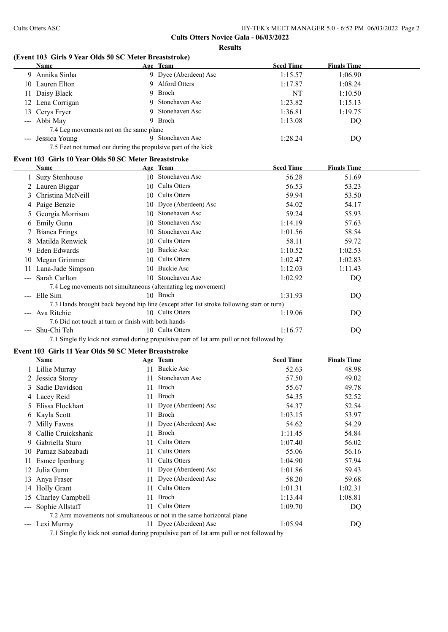# **(Event 103 Girls 9 Year Olds 50 SC Meter Breaststroke)**

|    | Name                                                           |    | Age Team                                                                                 | <b>Seed Time</b> | <b>Finals Time</b> |  |
|----|----------------------------------------------------------------|----|------------------------------------------------------------------------------------------|------------------|--------------------|--|
| 9  | Annika Sinha                                                   |    | 9 Dyce (Aberdeen) Asc                                                                    | 1:15.57          | 1:06.90            |  |
| 10 | Lauren Elton                                                   |    | 9 Alford Otters                                                                          | 1:17.87          | 1:08.24            |  |
| 11 | Daisy Black                                                    | 9  | Broch                                                                                    | <b>NT</b>        | 1:10.50            |  |
| 12 | Lena Corrigan                                                  | 9  | Stonehaven Asc                                                                           | 1:23.82          | 1:15.13            |  |
| 13 | Cerys Fryer                                                    | 9  | Stonehaven Asc                                                                           | 1:36.81          | 1:19.75            |  |
|    | --- Abbi May                                                   | 9  | Broch                                                                                    | 1:13.08          | DQ                 |  |
|    | 7.4 Leg movements not on the same plane                        |    |                                                                                          |                  |                    |  |
|    | --- Jessica Young                                              |    | 9 Stonehaven Asc                                                                         | 1:28.24          | DQ                 |  |
|    | 7.5 Feet not turned out during the propulsive part of the kick |    |                                                                                          |                  |                    |  |
|    | Event 103 Girls 10 Year Olds 50 SC Meter Breaststroke          |    |                                                                                          |                  |                    |  |
|    | Name                                                           |    | Age Team                                                                                 | <b>Seed Time</b> | <b>Finals Time</b> |  |
|    | <b>Suzy Stenhouse</b>                                          |    | 10 Stonehaven Asc                                                                        | 56.28            | 51.69              |  |
|    | Lauren Biggar                                                  |    | 10 Cults Otters                                                                          | 56.53            | 53.23              |  |
| 3  | Christina McNeill                                              |    | 10 Cults Otters                                                                          | 59.94            | 53.50              |  |
|    | Paige Benzie                                                   |    | 10 Dyce (Aberdeen) Asc                                                                   | 54.02            | 54.17              |  |
| Ć. | Georgia Morrison                                               | 10 | Stonehaven Asc                                                                           | 59.24            | 55.93              |  |
| 6  | <b>Emily Gunn</b>                                              | 10 | Stonehaven Asc                                                                           | 1:14.19          | 57.63              |  |
|    | <b>Bianca Frings</b>                                           | 10 | Stonehaven Asc                                                                           | 1:01.56          | 58.54              |  |
|    | Matilda Renwick                                                |    | 10 Cults Otters                                                                          | 58.11            | 59.72              |  |
|    | 9 Eden Edwards                                                 |    | 10 Buckie Asc                                                                            | 1:10.52          | 1:02.53            |  |
|    | 10 Megan Grimmer                                               |    | 10 Cults Otters                                                                          | 1:02.47          | 1:02.83            |  |
|    | 11 Lana-Jade Simpson                                           |    | 10 Buckie Asc                                                                            | 1:12.03          | 1:11.43            |  |
|    | --- Sarah Carlton                                              |    | 10 Stonehaven Asc                                                                        | 1:02.92          | DQ                 |  |
|    | 7.4 Leg movements not simultaneous (alternating leg movement)  |    |                                                                                          |                  |                    |  |
|    | --- Elle Sim                                                   |    | 10 Broch                                                                                 | 1:31.93          | DQ                 |  |
|    |                                                                |    | 7.3 Hands brought back beyond hip line (except after 1st stroke following start or turn) |                  |                    |  |
|    | --- Ava Ritchie                                                |    | 10 Cults Otters                                                                          | 1:19.06          | DQ                 |  |
|    | 7.6 Did not touch at turn or finish with both hands            |    |                                                                                          |                  |                    |  |
|    | --- Shu-Chi Teh                                                |    | 10 Cults Otters                                                                          | 1:16.77          | DQ                 |  |

7.1 Single fly kick not started during propulsive part of 1st arm pull or not followed by

### **Event 103 Girls 11 Year Olds 50 SC Meter Breaststroke**

|                      | Name                |    | Age Team                                                                                  | <b>Seed Time</b> | <b>Finals Time</b> |
|----------------------|---------------------|----|-------------------------------------------------------------------------------------------|------------------|--------------------|
|                      | 1 Lillie Murray     | 11 | Buckie Asc                                                                                | 52.63            | 48.98              |
|                      | Jessica Storey      |    | Stonehaven Asc                                                                            | 57.50            | 49.02              |
|                      | Sadie Davidson      | 11 | Broch                                                                                     | 55.67            | 49.78              |
|                      | 4 Lacey Reid        | 11 | <b>Broch</b>                                                                              | 54.35            | 52.52              |
|                      | Elissa Flockhart    |    | 11 Dyce (Aberdeen) Asc                                                                    | 54.37            | 52.54              |
|                      | 6 Kayla Scott       | 11 | Broch                                                                                     | 1:03.15          | 53.97              |
|                      | 7 Milly Fawns       | 11 | Dyce (Aberdeen) Asc                                                                       | 54.62            | 54.29              |
|                      | Callie Cruickshank  | 11 | Broch                                                                                     | 1:11.45          | 54.84              |
| 9.                   | Gabriella Sturo     | 11 | Cults Otters                                                                              | 1:07.40          | 56.02              |
|                      | 10 Parnaz Sabzabadi | 11 | Cults Otters                                                                              | 55.06            | 56.16              |
|                      | 11 Esmee Ipenburg   | 11 | Cults Otters                                                                              | 1:04.90          | 57.94              |
|                      | Julia Gunn          | 11 | Dyce (Aberdeen) Asc                                                                       | 1:01.86          | 59.43              |
| 13                   | Anya Fraser         | 11 | Dyce (Aberdeen) Asc                                                                       | 58.20            | 59.68              |
| 14                   | <b>Holly Grant</b>  | 11 | Cults Otters                                                                              | 1:01.31          | 1:02.31            |
| 15                   | Charley Campbell    | 11 | Broch                                                                                     | 1:13.44          | 1:08.81            |
| $\sim$ $\sim$ $\sim$ | Sophie Allstaff     | 11 | Cults Otters                                                                              | 1:09.70          | DQ                 |
|                      |                     |    | 7.2 Arm movements not simultaneous or not in the same horizontal plane                    |                  |                    |
| $\sim$ $\sim$ $\sim$ | Lexi Murray         |    | 11 Dyce (Aberdeen) Asc                                                                    | 1:05.94          | DQ                 |
|                      |                     |    | 7.1 Single fly kick not started during propulsive part of 1st arm pull or not followed by |                  |                    |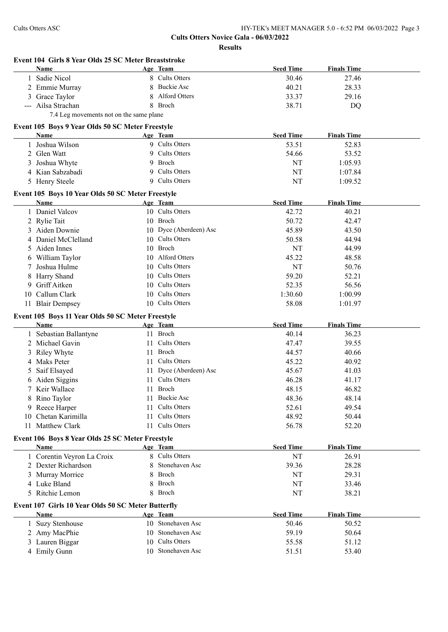**Cults Otters Novice Gala - 06/03/2022**

**Results**

|                                                    |                                      |                                                                                                                                                                                                                                                                                                                                                                                                                                                                                                                                                                                                                                                                                                                                                                                                                                                                                                             | <b>Finals Time</b>                                                                                                   |
|----------------------------------------------------|--------------------------------------|-------------------------------------------------------------------------------------------------------------------------------------------------------------------------------------------------------------------------------------------------------------------------------------------------------------------------------------------------------------------------------------------------------------------------------------------------------------------------------------------------------------------------------------------------------------------------------------------------------------------------------------------------------------------------------------------------------------------------------------------------------------------------------------------------------------------------------------------------------------------------------------------------------------|----------------------------------------------------------------------------------------------------------------------|
|                                                    |                                      |                                                                                                                                                                                                                                                                                                                                                                                                                                                                                                                                                                                                                                                                                                                                                                                                                                                                                                             | 27.46                                                                                                                |
|                                                    |                                      |                                                                                                                                                                                                                                                                                                                                                                                                                                                                                                                                                                                                                                                                                                                                                                                                                                                                                                             | 28.33                                                                                                                |
|                                                    |                                      |                                                                                                                                                                                                                                                                                                                                                                                                                                                                                                                                                                                                                                                                                                                                                                                                                                                                                                             | 29.16                                                                                                                |
|                                                    |                                      |                                                                                                                                                                                                                                                                                                                                                                                                                                                                                                                                                                                                                                                                                                                                                                                                                                                                                                             | <b>DQ</b>                                                                                                            |
|                                                    |                                      |                                                                                                                                                                                                                                                                                                                                                                                                                                                                                                                                                                                                                                                                                                                                                                                                                                                                                                             |                                                                                                                      |
|                                                    |                                      |                                                                                                                                                                                                                                                                                                                                                                                                                                                                                                                                                                                                                                                                                                                                                                                                                                                                                                             |                                                                                                                      |
|                                                    |                                      | <b>Seed Time</b>                                                                                                                                                                                                                                                                                                                                                                                                                                                                                                                                                                                                                                                                                                                                                                                                                                                                                            | <b>Finals Time</b>                                                                                                   |
|                                                    |                                      | 53.51                                                                                                                                                                                                                                                                                                                                                                                                                                                                                                                                                                                                                                                                                                                                                                                                                                                                                                       | 52.83                                                                                                                |
|                                                    |                                      | 54.66                                                                                                                                                                                                                                                                                                                                                                                                                                                                                                                                                                                                                                                                                                                                                                                                                                                                                                       | 53.52                                                                                                                |
|                                                    |                                      | NT                                                                                                                                                                                                                                                                                                                                                                                                                                                                                                                                                                                                                                                                                                                                                                                                                                                                                                          | 1:05.93                                                                                                              |
|                                                    |                                      | NT                                                                                                                                                                                                                                                                                                                                                                                                                                                                                                                                                                                                                                                                                                                                                                                                                                                                                                          | 1:07.84                                                                                                              |
|                                                    |                                      | NT                                                                                                                                                                                                                                                                                                                                                                                                                                                                                                                                                                                                                                                                                                                                                                                                                                                                                                          | 1:09.52                                                                                                              |
|                                                    |                                      |                                                                                                                                                                                                                                                                                                                                                                                                                                                                                                                                                                                                                                                                                                                                                                                                                                                                                                             |                                                                                                                      |
|                                                    |                                      | <b>Seed Time</b>                                                                                                                                                                                                                                                                                                                                                                                                                                                                                                                                                                                                                                                                                                                                                                                                                                                                                            | <b>Finals Time</b>                                                                                                   |
|                                                    |                                      | 42.72                                                                                                                                                                                                                                                                                                                                                                                                                                                                                                                                                                                                                                                                                                                                                                                                                                                                                                       | 40.21                                                                                                                |
|                                                    |                                      | 50.72                                                                                                                                                                                                                                                                                                                                                                                                                                                                                                                                                                                                                                                                                                                                                                                                                                                                                                       | 42.47                                                                                                                |
|                                                    |                                      | 45.89                                                                                                                                                                                                                                                                                                                                                                                                                                                                                                                                                                                                                                                                                                                                                                                                                                                                                                       | 43.50                                                                                                                |
|                                                    |                                      | 50.58                                                                                                                                                                                                                                                                                                                                                                                                                                                                                                                                                                                                                                                                                                                                                                                                                                                                                                       | 44.94                                                                                                                |
|                                                    |                                      | NT                                                                                                                                                                                                                                                                                                                                                                                                                                                                                                                                                                                                                                                                                                                                                                                                                                                                                                          | 44.99                                                                                                                |
|                                                    |                                      | 45.22                                                                                                                                                                                                                                                                                                                                                                                                                                                                                                                                                                                                                                                                                                                                                                                                                                                                                                       | 48.58                                                                                                                |
|                                                    |                                      | <b>NT</b>                                                                                                                                                                                                                                                                                                                                                                                                                                                                                                                                                                                                                                                                                                                                                                                                                                                                                                   | 50.76                                                                                                                |
|                                                    |                                      | 59.20                                                                                                                                                                                                                                                                                                                                                                                                                                                                                                                                                                                                                                                                                                                                                                                                                                                                                                       | 52.21                                                                                                                |
|                                                    |                                      | 52.35                                                                                                                                                                                                                                                                                                                                                                                                                                                                                                                                                                                                                                                                                                                                                                                                                                                                                                       | 56.56                                                                                                                |
|                                                    |                                      | 1:30.60                                                                                                                                                                                                                                                                                                                                                                                                                                                                                                                                                                                                                                                                                                                                                                                                                                                                                                     | 1:00.99                                                                                                              |
|                                                    |                                      | 58.08                                                                                                                                                                                                                                                                                                                                                                                                                                                                                                                                                                                                                                                                                                                                                                                                                                                                                                       | 1:01.97                                                                                                              |
|                                                    |                                      |                                                                                                                                                                                                                                                                                                                                                                                                                                                                                                                                                                                                                                                                                                                                                                                                                                                                                                             |                                                                                                                      |
|                                                    |                                      |                                                                                                                                                                                                                                                                                                                                                                                                                                                                                                                                                                                                                                                                                                                                                                                                                                                                                                             | <b>Finals Time</b>                                                                                                   |
|                                                    |                                      |                                                                                                                                                                                                                                                                                                                                                                                                                                                                                                                                                                                                                                                                                                                                                                                                                                                                                                             | 36.23                                                                                                                |
|                                                    |                                      | 47.47                                                                                                                                                                                                                                                                                                                                                                                                                                                                                                                                                                                                                                                                                                                                                                                                                                                                                                       | 39.55                                                                                                                |
|                                                    |                                      | 44.57                                                                                                                                                                                                                                                                                                                                                                                                                                                                                                                                                                                                                                                                                                                                                                                                                                                                                                       | 40.66                                                                                                                |
|                                                    |                                      |                                                                                                                                                                                                                                                                                                                                                                                                                                                                                                                                                                                                                                                                                                                                                                                                                                                                                                             | 40.92                                                                                                                |
|                                                    |                                      | 45.67                                                                                                                                                                                                                                                                                                                                                                                                                                                                                                                                                                                                                                                                                                                                                                                                                                                                                                       | 41.03                                                                                                                |
|                                                    | Cults Otters                         | 46.28                                                                                                                                                                                                                                                                                                                                                                                                                                                                                                                                                                                                                                                                                                                                                                                                                                                                                                       | 41.17                                                                                                                |
|                                                    |                                      | 48.15                                                                                                                                                                                                                                                                                                                                                                                                                                                                                                                                                                                                                                                                                                                                                                                                                                                                                                       | 46.82                                                                                                                |
|                                                    |                                      | 48.36                                                                                                                                                                                                                                                                                                                                                                                                                                                                                                                                                                                                                                                                                                                                                                                                                                                                                                       | 48.14                                                                                                                |
| 11                                                 | <b>Cults Otters</b>                  | 52.61                                                                                                                                                                                                                                                                                                                                                                                                                                                                                                                                                                                                                                                                                                                                                                                                                                                                                                       | 49.54                                                                                                                |
| 11                                                 | Cults Otters                         | 48.92                                                                                                                                                                                                                                                                                                                                                                                                                                                                                                                                                                                                                                                                                                                                                                                                                                                                                                       | 50.44                                                                                                                |
|                                                    |                                      | 56.78                                                                                                                                                                                                                                                                                                                                                                                                                                                                                                                                                                                                                                                                                                                                                                                                                                                                                                       | 52.20                                                                                                                |
|                                                    |                                      |                                                                                                                                                                                                                                                                                                                                                                                                                                                                                                                                                                                                                                                                                                                                                                                                                                                                                                             |                                                                                                                      |
|                                                    |                                      |                                                                                                                                                                                                                                                                                                                                                                                                                                                                                                                                                                                                                                                                                                                                                                                                                                                                                                             | <b>Finals Time</b>                                                                                                   |
|                                                    |                                      |                                                                                                                                                                                                                                                                                                                                                                                                                                                                                                                                                                                                                                                                                                                                                                                                                                                                                                             | 26.91                                                                                                                |
| 8                                                  | Stonehaven Asc                       | 39.36                                                                                                                                                                                                                                                                                                                                                                                                                                                                                                                                                                                                                                                                                                                                                                                                                                                                                                       | 28.28                                                                                                                |
|                                                    |                                      |                                                                                                                                                                                                                                                                                                                                                                                                                                                                                                                                                                                                                                                                                                                                                                                                                                                                                                             |                                                                                                                      |
|                                                    | 8 Broch                              | NT                                                                                                                                                                                                                                                                                                                                                                                                                                                                                                                                                                                                                                                                                                                                                                                                                                                                                                          | 29.31                                                                                                                |
|                                                    | 8 Broch                              | NT                                                                                                                                                                                                                                                                                                                                                                                                                                                                                                                                                                                                                                                                                                                                                                                                                                                                                                          | 33.46                                                                                                                |
|                                                    | 8 Broch                              | NT                                                                                                                                                                                                                                                                                                                                                                                                                                                                                                                                                                                                                                                                                                                                                                                                                                                                                                          | 38.21                                                                                                                |
| Event 107 Girls 10 Year Olds 50 SC Meter Butterfly |                                      |                                                                                                                                                                                                                                                                                                                                                                                                                                                                                                                                                                                                                                                                                                                                                                                                                                                                                                             |                                                                                                                      |
|                                                    | Age Team                             | <b>Seed Time</b>                                                                                                                                                                                                                                                                                                                                                                                                                                                                                                                                                                                                                                                                                                                                                                                                                                                                                            | <b>Finals Time</b>                                                                                                   |
|                                                    | 10 Stonehaven Asc                    | 50.46                                                                                                                                                                                                                                                                                                                                                                                                                                                                                                                                                                                                                                                                                                                                                                                                                                                                                                       | 50.52                                                                                                                |
|                                                    | 10 Stonehaven Asc                    | 59.19                                                                                                                                                                                                                                                                                                                                                                                                                                                                                                                                                                                                                                                                                                                                                                                                                                                                                                       | 50.64                                                                                                                |
|                                                    | 10 Cults Otters<br>10 Stonehaven Asc | 55.58<br>51.51                                                                                                                                                                                                                                                                                                                                                                                                                                                                                                                                                                                                                                                                                                                                                                                                                                                                                              | 51.12<br>53.40                                                                                                       |
|                                                    |                                      | Event 104 Girls 8 Year Olds 25 SC Meter Breaststroke<br>Age Team<br>8 Cults Otters<br>8 Buckie Asc<br>8 Alford Otters<br>8 Broch<br>7.4 Leg movements not on the same plane<br>Event 105 Boys 9 Year Olds 50 SC Meter Freestyle<br>Age Team<br>9 Cults Otters<br>9 Cults Otters<br>9 Broch<br>9 Cults Otters<br>9 Cults Otters<br>Event 105 Boys 10 Year Olds 50 SC Meter Freestyle<br>Age Team<br>10 Cults Otters<br>10 Broch<br>10 Dyce (Aberdeen) Asc<br>10 Cults Otters<br>10 Broch<br>10 Alford Otters<br>10 Cults Otters<br>10 Cults Otters<br>10 Cults Otters<br>10 Cults Otters<br>10 Cults Otters<br>Event 105 Boys 11 Year Olds 50 SC Meter Freestyle<br>Age Team<br>11 Broch<br>11 Cults Otters<br>11 Broch<br>11 Cults Otters<br>11 Dyce (Aberdeen) Asc<br>11<br>11 Broch<br>11 Buckie Asc<br>11 Cults Otters<br>Event 106 Boys 8 Year Olds 25 SC Meter Freestyle<br>Age Team<br>8 Cults Otters | <b>Seed Time</b><br>30.46<br>40.21<br>33.37<br>38.71<br><b>Seed Time</b><br>40.14<br>45.22<br><b>Seed Time</b><br>NT |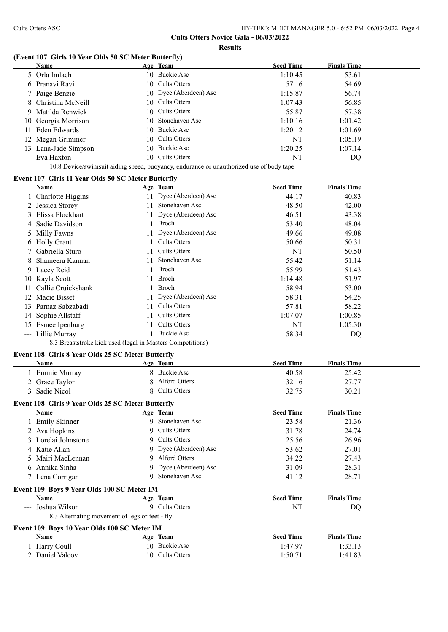# **Cults Otters Novice Gala - 06/03/2022**

#### **Results**

# **(Event 107 Girls 10 Year Olds 50 SC Meter Butterfly)**

|    | <b>Name</b>          | Age Team               | <b>Seed Time</b> | <b>Finals Time</b> |
|----|----------------------|------------------------|------------------|--------------------|
|    | 5 Orla Imlach        | 10 Buckie Asc          | 1:10.45          | 53.61              |
|    | 6 Pranavi Ravi       | 10 Cults Otters        | 57.16            | 54.69              |
|    | 7 Paige Benzie       | 10 Dyce (Aberdeen) Asc | 1:15.87          | 56.74              |
|    | 8 Christina McNeill  | 10 Cults Otters        | 1:07.43          | 56.85              |
|    | 9 Matilda Renwick    | 10 Cults Otters        | 55.87            | 57.38              |
|    | 10 Georgia Morrison  | 10 Stonehaven Asc      | 1:10.16          | 1:01.42            |
| 11 | Eden Edwards         | 10 Buckie Asc          | 1:20.12          | 1:01.69            |
|    | 12 Megan Grimmer     | 10 Cults Otters        | NT               | 1:05.19            |
|    | 13 Lana-Jade Simpson | 10 Buckie Asc          | 1:20.25          | 1:07.14            |
|    | --- Eva Haxton       | 10 Cults Otters        | NT               | DQ                 |

10.8 Device/swimsuit aiding speed, buoyancy, endurance or unauthorized use of body tape

# **Event 107 Girls 11 Year Olds 50 SC Meter Butterfly**

|    | <b>Name</b>                                                                                   | Age Team               | <b>Seed Time</b> | <b>Finals Time</b> |  |
|----|-----------------------------------------------------------------------------------------------|------------------------|------------------|--------------------|--|
|    | 1 Charlotte Higgins                                                                           | 11 Dyce (Aberdeen) Asc | 44.17            | 40.83              |  |
|    | 2 Jessica Storey                                                                              | 11 Stonehaven Asc      | 48.50            | 42.00              |  |
|    | Elissa Flockhart                                                                              | 11 Dyce (Aberdeen) Asc | 46.51            | 43.38              |  |
| 4  | Sadie Davidson                                                                                | 11 Broch               | 53.40            | 48.04              |  |
| Ć. | Milly Fawns                                                                                   | 11 Dyce (Aberdeen) Asc | 49.66            | 49.08              |  |
|    | 6 Holly Grant                                                                                 | 11 Cults Otters        | 50.66            | 50.31              |  |
|    | Gabriella Sturo                                                                               | 11 Cults Otters        | <b>NT</b>        | 50.50              |  |
| 8  | Shameera Kannan                                                                               | 11 Stonehaven Asc      | 55.42            | 51.14              |  |
| 9  | Lacey Reid                                                                                    | 11 Broch               | 55.99            | 51.43              |  |
|    | 10 Kayla Scott                                                                                | 11 Broch               | 1:14.48          | 51.97              |  |
|    | 11 Callie Cruickshank                                                                         | 11 Broch               | 58.94            | 53.00              |  |
|    | 12 Macie Bisset                                                                               | 11 Dyce (Aberdeen) Asc | 58.31            | 54.25              |  |
|    | 13 Parnaz Sabzabadi                                                                           | 11 Cults Otters        | 57.81            | 58.22              |  |
| 14 | Sophie Allstaff                                                                               | 11 Cults Otters        | 1:07.07          | 1:00.85            |  |
|    | 15 Esmee Ipenburg                                                                             | 11 Cults Otters        | NT               | 1:05.30            |  |
|    | --- Lillie Murray                                                                             | 11 Buckie Asc          | 58.34            | DQ                 |  |
|    | 8.3 Breaststroke kick used (legal in Masters Competitions)                                    |                        |                  |                    |  |
|    | Event 108 Girls 8 Year Olds 25 SC Meter Butterfly                                             |                        |                  |                    |  |
|    | Name                                                                                          | Age Team               | <b>Seed Time</b> | <b>Finals Time</b> |  |
|    | 1 Emmie Murray                                                                                | 8 Buckie Asc           | 40.58            | 25.42              |  |
|    | 2 Grace Taylor                                                                                | 8 Alford Otters        | 32.16            | 27.77              |  |
|    | 3 Sadie Nicol                                                                                 | 8 Cults Otters         | 32.75            | 30.21              |  |
|    | Event 108 Girls 9 Year Olds 25 SC Meter Butterfly                                             |                        |                  |                    |  |
|    | Name                                                                                          | Age Team               | <b>Seed Time</b> | <b>Finals Time</b> |  |
|    | 1 Emily Skinner                                                                               | 9 Stonehaven Asc       | 23.58            | 21.36              |  |
|    | 2 Ava Hopkins                                                                                 | 9 Cults Otters         | 31.78            | 24.74              |  |
|    | Lorelai Johnstone                                                                             | 9 Cults Otters         | 25.56            | 26.96              |  |
|    | 4 Katie Allan                                                                                 | 9 Dyce (Aberdeen) Asc  | 53.62            | 27.01              |  |
| 5. | Mairi MacLennan                                                                               | 9 Alford Otters        | 34.22            | 27.43              |  |
| 6  | Annika Sinha                                                                                  | 9 Dyce (Aberdeen) Asc  | 31.09            | 28.31              |  |
|    | 7 Lena Corrigan                                                                               | 9 Stonehaven Asc       | 41.12            | 28.71              |  |
|    |                                                                                               |                        |                  |                    |  |
|    | Event 109 Boys 9 Year Olds 100 SC Meter IM<br><b>Name</b>                                     | Age Team               | <b>Seed Time</b> | <b>Finals Time</b> |  |
|    |                                                                                               | 9 Cults Otters         |                  |                    |  |
|    | --- Joshua Wilson                                                                             |                        | NT               | DQ                 |  |
|    |                                                                                               |                        |                  |                    |  |
|    | 8.3 Alternating movement of legs or feet - fly<br>Event 109 Boys 10 Year Olds 100 SC Meter IM |                        |                  |                    |  |

| Name            | Team<br>Age     | <b>Seed Time</b> | <b>Finals Time</b> |  |
|-----------------|-----------------|------------------|--------------------|--|
| Harry Coull     | 10 Buckie Asc   | 1:47.97          | 1:33.13            |  |
| 2 Daniel Valcov | 10 Cults Otters | 1:50.71          | 1:41.83            |  |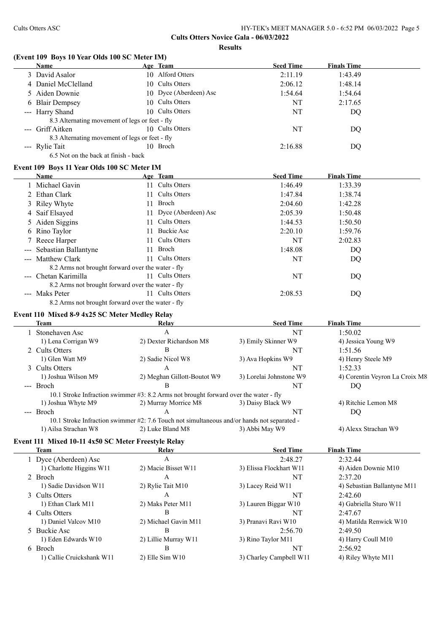|               | Name                                                   | Age Team                                                                                   | <b>Seed Time</b>              | <b>Finals Time</b>                                   |
|---------------|--------------------------------------------------------|--------------------------------------------------------------------------------------------|-------------------------------|------------------------------------------------------|
|               | 3 David Asalor                                         | 10 Alford Otters                                                                           | 2:11.19                       | 1:43.49                                              |
|               | 4 Daniel McClelland                                    | 10 Cults Otters                                                                            | 2:06.12                       | 1:48.14                                              |
|               | 5 Aiden Downie                                         | 10 Dyce (Aberdeen) Asc                                                                     | 1:54.64                       | 1:54.64                                              |
|               | 6 Blair Dempsey                                        | 10 Cults Otters                                                                            | <b>NT</b>                     | 2:17.65                                              |
|               | --- Harry Shand                                        | 10 Cults Otters                                                                            | NT                            | DQ                                                   |
|               | 8.3 Alternating movement of legs or feet - fly         |                                                                                            |                               |                                                      |
| $\frac{1}{2}$ | Griff Aitken                                           | 10 Cults Otters                                                                            | NT                            | DQ                                                   |
|               | 8.3 Alternating movement of legs or feet - fly         |                                                                                            |                               |                                                      |
|               | --- Rylie Tait                                         | 10 Broch                                                                                   | 2:16.88                       | DQ                                                   |
|               | 6.5 Not on the back at finish - back                   |                                                                                            |                               |                                                      |
|               | Event 109 Boys 11 Year Olds 100 SC Meter IM            |                                                                                            |                               |                                                      |
|               | Name                                                   | Age Team                                                                                   | <b>Seed Time</b>              | <b>Finals Time</b>                                   |
|               | 1 Michael Gavin                                        | 11 Cults Otters                                                                            | 1:46.49                       | 1:33.39                                              |
|               | 2 Ethan Clark                                          | 11 Cults Otters                                                                            | 1:47.84                       | 1:38.74                                              |
|               | 3 Riley Whyte                                          | 11 Broch                                                                                   | 2:04.60                       | 1:42.28                                              |
|               | 4 Saif Elsayed                                         | 11 Dyce (Aberdeen) Asc                                                                     | 2:05.39                       | 1:50.48                                              |
|               | 5 Aiden Siggins                                        | 11 Cults Otters                                                                            | 1:44.53                       | 1:50.50                                              |
|               | 6 Rino Taylor                                          | 11 Buckie Asc                                                                              | 2:20.10                       | 1:59.76                                              |
|               | 7 Reece Harper                                         | 11 Cults Otters                                                                            | NT                            | 2:02.83                                              |
| ---           | Sebastian Ballantyne                                   | 11 Broch                                                                                   | 1:48.08                       | DQ                                                   |
|               | --- Matthew Clark                                      | 11 Cults Otters                                                                            | NT                            | DQ                                                   |
|               | 8.2 Arms not brought forward over the water - fly      |                                                                                            |                               |                                                      |
|               | --- Chetan Karimilla                                   | 11 Cults Otters                                                                            | NT                            | DQ                                                   |
|               | 8.2 Arms not brought forward over the water - fly      |                                                                                            |                               |                                                      |
|               | --- Maks Peter                                         | 11 Cults Otters                                                                            | 2:08.53                       | DQ                                                   |
|               | 8.2 Arms not brought forward over the water - fly      |                                                                                            |                               |                                                      |
|               |                                                        |                                                                                            |                               |                                                      |
|               | Event 110 Mixed 8-9 4x25 SC Meter Medley Relay<br>Team | Relay                                                                                      | <b>Seed Time</b>              | <b>Finals Time</b>                                   |
|               | 1 Stonehaven Asc                                       | $\mathbf{A}$                                                                               | NT                            | 1:50.02                                              |
|               | 1) Lena Corrigan W9                                    | 2) Dexter Richardson M8                                                                    | 3) Emily Skinner W9           | 4) Jessica Young W9                                  |
|               | 2 Cults Otters                                         | B                                                                                          | NT                            | 1:51.56                                              |
|               | 1) Glen Watt M9                                        | 2) Sadie Nicol W8                                                                          | 3) Ava Hopkins W9             | 4) Henry Steele M9                                   |
|               | 3 Cults Otters                                         | A                                                                                          | NT                            | 1:52.33                                              |
|               |                                                        |                                                                                            |                               |                                                      |
|               |                                                        |                                                                                            |                               |                                                      |
|               | 1) Joshua Wilson M9                                    | 2) Meghan Gillott-Boutot W9                                                                | 3) Lorelai Johnstone W9       |                                                      |
|               | --- Broch                                              | B                                                                                          | NT                            | <b>DQ</b>                                            |
|               |                                                        | 10.1 Stroke Infraction swimmer #3: 8.2 Arms not brought forward over the water - fly       |                               |                                                      |
|               | 1) Joshua Whyte M9                                     | 2) Murray Morrice M8                                                                       | 3) Daisy Black W9             | 4) Ritchie Lemon M8                                  |
|               | --- Broch                                              | Α                                                                                          | NT                            | DQ                                                   |
|               |                                                        | 10.1 Stroke Infraction swimmer #2: 7.6 Touch not simultaneous and/or hands not separated - |                               |                                                      |
|               | 1) Ailsa Strachan W8                                   | 2) Luke Bland M8                                                                           | 3) Abbi May W9                | 4) Alexx Strachan W9                                 |
|               | Event 111 Mixed 10-11 4x50 SC Meter Freestyle Relay    |                                                                                            |                               |                                                      |
|               | <b>Team</b>                                            | Relay                                                                                      | <b>Seed Time</b>              | <b>Finals Time</b>                                   |
|               | 1 Dyce (Aberdeen) Asc                                  | $\mathbf{A}$                                                                               | 2:48.27                       | 2:32.44                                              |
|               | 1) Charlotte Higgins W11                               | 2) Macie Bisset W11                                                                        | 3) Elissa Flockhart W11       | 4) Aiden Downie M10                                  |
|               | 2 Broch                                                | A                                                                                          | NT                            | 2:37.20                                              |
|               | 1) Sadie Davidson W11                                  | 2) Rylie Tait M10                                                                          | 3) Lacey Reid W11             | 4) Sebastian Ballantyne M11                          |
|               | 3 Cults Otters                                         | A                                                                                          | NT                            | 2:42.60                                              |
|               | 1) Ethan Clark M11                                     | 2) Maks Peter M11                                                                          | 3) Lauren Biggar W10          | 4) Gabriella Sturo W11                               |
|               | 4 Cults Otters                                         | B                                                                                          | NT                            | 2:47.67                                              |
|               | 1) Daniel Valcov M10                                   | 2) Michael Gavin M11                                                                       | 3) Pranavi Ravi W10           | 4) Matilda Renwick W10                               |
|               | 5 Buckie Asc                                           | B                                                                                          | 2:56.70                       | 2:49.50                                              |
|               | 1) Eden Edwards W10                                    | 2) Lillie Murray W11                                                                       | 3) Rino Taylor M11            | 4) Corentin Veyron La Croix M8<br>4) Harry Coull M10 |
|               | 6 Broch<br>1) Callie Cruickshank W11                   | B<br>2) Elle Sim W10                                                                       | NT<br>3) Charley Campbell W11 | 2:56.92<br>4) Riley Whyte M11                        |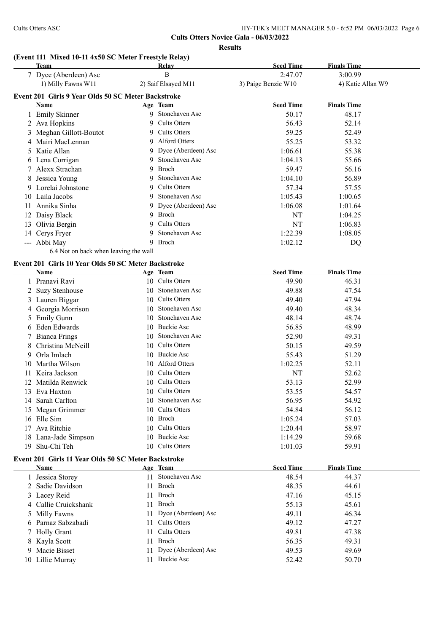#### **(Event 111 Mixed 10-11 4x50 SC Meter Freestyle Relay)**

|    | <b>Team</b>                                                        |     | Relay                 | <b>Seed Time</b>    | <b>Finals Time</b> |
|----|--------------------------------------------------------------------|-----|-----------------------|---------------------|--------------------|
|    | 7 Dyce (Aberdeen) Asc                                              |     | B                     | 2:47.07             | 3:00.99            |
|    | 1) Milly Fawns W11                                                 |     | 2) Saif Elsayed M11   | 3) Paige Benzie W10 | 4) Katie Allan W9  |
|    | Event 201 Girls 9 Year Olds 50 SC Meter Backstroke                 |     |                       |                     |                    |
|    | Name                                                               |     | Age Team              | <b>Seed Time</b>    | <b>Finals Time</b> |
|    | 1 Emily Skinner                                                    |     | 9 Stonehaven Asc      | 50.17               | 48.17              |
|    | 2 Ava Hopkins                                                      | 9   | <b>Cults Otters</b>   | 56.43               | 52.14              |
|    | 3 Meghan Gillott-Boutot                                            | 9   | <b>Cults Otters</b>   | 59.25               | 52.49              |
|    | 4 Mairi MacLennan                                                  | 9   | Alford Otters         | 55.25               | 53.32              |
|    | 5 Katie Allan                                                      | 9   | Dyce (Aberdeen) Asc   | 1:06.61             | 55.38              |
|    | 6 Lena Corrigan                                                    | 9   | Stonehaven Asc        | 1:04.13             | 55.66              |
|    | 7 Alexx Strachan                                                   | 9   | Broch                 | 59.47               | 56.16              |
|    | 8 Jessica Young                                                    | 9.  | Stonehaven Asc        | 1:04.10             | 56.89              |
|    | 9 Lorelai Johnstone                                                |     | 9 Cults Otters        | 57.34               | 57.55              |
|    |                                                                    | 9.  | Stonehaven Asc        |                     |                    |
|    | 10 Laila Jacobs                                                    |     | 9 Dyce (Aberdeen) Asc | 1:05.43             | 1:00.65            |
|    | 11 Annika Sinha                                                    |     | 9 Broch               | 1:06.08             | 1:01.64            |
|    | 12 Daisy Black                                                     |     |                       | NT                  | 1:04.25            |
|    | 13 Olivia Bergin                                                   | 9   | Cults Otters          | NT                  | 1:06.83            |
|    | 14 Cerys Fryer                                                     | 9   | Stonehaven Asc        | 1:22.39             | 1:08.05            |
|    | --- Abbi May                                                       | 9   | Broch                 | 1:02.12             | DQ                 |
|    | 6.4 Not on back when leaving the wall                              |     |                       |                     |                    |
|    | Event 201 Girls 10 Year Olds 50 SC Meter Backstroke                |     |                       |                     |                    |
|    | Name                                                               |     | Age Team              | <b>Seed Time</b>    | <b>Finals Time</b> |
|    | 1 Pranavi Ravi                                                     |     | 10 Cults Otters       | 49.90               | 46.31              |
| 2  | <b>Suzy Stenhouse</b>                                              |     | 10 Stonehaven Asc     | 49.88               | 47.54              |
|    | 3 Lauren Biggar                                                    |     | 10 Cults Otters       | 49.40               | 47.94              |
|    | 4 Georgia Morrison                                                 | 10  | Stonehaven Asc        | 49.40               | 48.34              |
|    | 5 Emily Gunn                                                       | 10  | Stonehaven Asc        | 48.14               | 48.74              |
|    | 6 Eden Edwards                                                     |     | 10 Buckie Asc         | 56.85               | 48.99              |
|    | 7 Bianca Frings                                                    | 10  | Stonehaven Asc        | 52.90               | 49.31              |
| 8  | Christina McNeill                                                  |     | 10 Cults Otters       | 50.15               | 49.59              |
| 9  | Orla Imlach                                                        |     | 10 Buckie Asc         | 55.43               | 51.29              |
| 10 | Martha Wilson                                                      |     | 10 Alford Otters      | 1:02.25             | 52.11              |
| 11 | Keira Jackson                                                      |     | 10 Cults Otters       | NT                  | 52.62              |
| 12 | Matilda Renwick                                                    |     | 10 Cults Otters       | 53.13               | 52.99              |
|    | 13 Eva Haxton                                                      |     | 10 Cults Otters       | 53.55               | 54.57              |
|    | 14 Sarah Carlton                                                   |     | 10 Stonehaven Asc     | 56.95               | 54.92              |
|    | 15 Megan Grimmer                                                   |     | 10 Cults Otters       | 54.84               | 56.12              |
|    | 16 Elle Sim                                                        |     | 10 Broch              | 1:05.24             | 57.03              |
|    | 17 Ava Ritchie                                                     |     | 10 Cults Otters       | 1:20.44             | 58.97              |
|    | 18 Lana-Jade Simpson                                               |     | 10 Buckie Asc         | 1:14.29             | 59.68              |
|    | 19 Shu-Chi Teh                                                     |     | 10 Cults Otters       | 1:01.03             | 59.91              |
|    |                                                                    |     |                       |                     |                    |
|    | Event 201 Girls 11 Year Olds 50 SC Meter Backstroke<br><b>Name</b> |     | Age Team              | <b>Seed Time</b>    | <b>Finals Time</b> |
|    | 1 Jessica Storey                                                   |     | 11 Stonehaven Asc     | 48.54               | 44.37              |
|    | 2 Sadie Davidson                                                   |     | Broch                 |                     |                    |
|    |                                                                    | 11  |                       | 48.35               | 44.61              |
|    | 3 Lacey Reid                                                       | 11. | Broch<br><b>Broch</b> | 47.16               | 45.15              |
|    | 4 Callie Cruickshank                                               | 11  |                       | 55.13               | 45.61              |
|    | 5 Milly Fawns                                                      | 11  | Dyce (Aberdeen) Asc   | 49.11               | 46.34              |
|    | 6 Parnaz Sabzabadi                                                 |     | 11 Cults Otters       | 49.12               | 47.27              |

 Holly Grant 11 Cults Otters 49.81 47.38 8 Kayla Scott 11 Broch 56.35 49.31 9 Macie Bisset 11 Dyce (Aberdeen) Asc 49.53 49.69<br>
10 Lillie Murray 11 Buckie Asc 52.42 50.70 10 Lillie Murray 11 Buckie Asc 52.42 50.70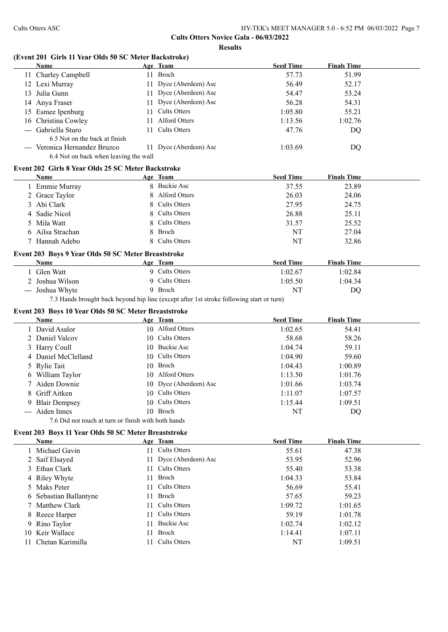#### **(Event 201 Girls 11 Year Olds 50 SC Meter Backstroke)**

|   | Name                                                                   |     | Age Team                                                                                 | <b>Seed Time</b> | <b>Finals Time</b> |  |
|---|------------------------------------------------------------------------|-----|------------------------------------------------------------------------------------------|------------------|--------------------|--|
|   | 11 Charley Campbell                                                    |     | 11 Broch                                                                                 | 57.73            | 51.99              |  |
|   | 12 Lexi Murray                                                         |     | 11 Dyce (Aberdeen) Asc                                                                   | 56.49            | 52.17              |  |
|   | 13 Julia Gunn                                                          |     | 11 Dyce (Aberdeen) Asc                                                                   | 54.47            | 53.24              |  |
|   | 14 Anya Fraser                                                         | 11  | Dyce (Aberdeen) Asc                                                                      | 56.28            | 54.31              |  |
|   | 15 Esmee Ipenburg                                                      | 11. | <b>Cults Otters</b>                                                                      | 1:05.80          | 55.21              |  |
|   | 16 Christina Cowley                                                    |     | 11 Alford Otters                                                                         | 1:13.56          | 1:02.76            |  |
|   | --- Gabriella Sturo                                                    | 11  | <b>Cults Otters</b>                                                                      | 47.76            | DQ                 |  |
|   | 6.5 Not on the back at finish                                          |     |                                                                                          |                  |                    |  |
|   | --- Veronica Hernandez Bruzco<br>6.4 Not on back when leaving the wall |     | 11 Dyce (Aberdeen) Asc                                                                   | 1:03.69          | DQ                 |  |
|   |                                                                        |     |                                                                                          |                  |                    |  |
|   | Event 202 Girls 8 Year Olds 25 SC Meter Backstroke                     |     |                                                                                          |                  |                    |  |
|   | Name                                                                   |     | Age Team<br>8 Buckie Asc                                                                 | <b>Seed Time</b> | <b>Finals Time</b> |  |
|   | 1 Emmie Murray                                                         |     |                                                                                          | 37.55            | 23.89              |  |
|   | 2 Grace Taylor                                                         |     | Alford Otters                                                                            | 26.03            | 24.06              |  |
|   | 3 Abi Clark                                                            |     | <b>Cults Otters</b>                                                                      | 27.95            | 24.75              |  |
|   | 4 Sadie Nicol                                                          |     | <b>Cults Otters</b>                                                                      | 26.88            | 25.11              |  |
|   | 5 Mila Watt                                                            | 8.  | <b>Cults Otters</b>                                                                      | 31.57            | 25.52              |  |
|   | 6 Ailsa Strachan                                                       | 8   | Broch                                                                                    | NT               | 27.04              |  |
|   | 7 Hannah Adebo                                                         |     | 8 Cults Otters                                                                           | NT               | 32.86              |  |
|   | Event 203 Boys 9 Year Olds 50 SC Meter Breaststroke                    |     |                                                                                          |                  |                    |  |
|   | <b>Name</b>                                                            |     | Age Team                                                                                 | <b>Seed Time</b> | <b>Finals Time</b> |  |
|   | 1 Glen Watt                                                            |     | 9 Cults Otters                                                                           | 1:02.67          | 1:02.84            |  |
|   | Joshua Wilson                                                          |     | 9 Cults Otters                                                                           | 1:05.50          | 1:04.34            |  |
|   | --- Joshua Whyte                                                       |     | 9 Broch                                                                                  | NT               | DQ                 |  |
|   |                                                                        |     | 7.3 Hands brought back beyond hip line (except after 1st stroke following start or turn) |                  |                    |  |
|   | Event 203 Boys 10 Year Olds 50 SC Meter Breaststroke                   |     |                                                                                          |                  |                    |  |
|   | Name                                                                   |     | Age Team                                                                                 | <b>Seed Time</b> | <b>Finals Time</b> |  |
|   | 1 David Asalor                                                         |     | 10 Alford Otters                                                                         | 1:02.65          | 54.41              |  |
|   | 2 Daniel Valcov                                                        |     | 10 Cults Otters                                                                          | 58.68            | 58.26              |  |
|   | 3 Harry Coull                                                          |     | 10 Buckie Asc                                                                            | 1:04.74          | 59.11              |  |
|   | 4 Daniel McClelland                                                    |     | 10 Cults Otters                                                                          | 1:04.90          | 59.60              |  |
| 5 | <b>Rylie Tait</b>                                                      |     | 10 Broch                                                                                 | 1:04.43          | 1:00.89            |  |
|   | 6 William Taylor                                                       |     | 10 Alford Otters                                                                         | 1:13.50          | 1:01.76            |  |
|   | 7 Aiden Downie                                                         |     | 10 Dyce (Aberdeen) Asc                                                                   | 1:01.66          | 1:03.74            |  |
|   | 8 Griff Aitken                                                         |     | 10 Cults Otters                                                                          | 1:11.07          | 1:07.57            |  |
|   |                                                                        |     | 10 Cults Otters                                                                          |                  |                    |  |
|   | 9 Blair Dempsey<br>--- Aiden Innes                                     |     | 10 Broch                                                                                 | 1:15.44<br>NT    | 1:09.51            |  |
|   | 7.6 Did not touch at turn or finish with both hands                    |     |                                                                                          |                  | DQ                 |  |
|   |                                                                        |     |                                                                                          |                  |                    |  |
|   | Event 203 Boys 11 Year Olds 50 SC Meter Breaststroke                   |     |                                                                                          |                  |                    |  |
|   | <b>Name</b>                                                            |     | Age Team                                                                                 | <b>Seed Time</b> | <b>Finals Time</b> |  |
|   | 1 Michael Gavin                                                        |     | 11 Cults Otters                                                                          | 55.61            | 47.38              |  |
|   | 2 Saif Elsayed                                                         |     | 11 Dyce (Aberdeen) Asc                                                                   | 53.95            | 52.96              |  |
|   | 3 Ethan Clark                                                          | 11  | <b>Cults Otters</b>                                                                      | 55.40            | 53.38              |  |
|   | 4 Riley Whyte                                                          | 11  | Broch                                                                                    | 1:04.33          | 53.84              |  |
|   | 5 Maks Peter                                                           | 11  | <b>Cults Otters</b>                                                                      | 56.69            | 55.41              |  |
|   | 6 Sebastian Ballantyne                                                 | 11  | Broch                                                                                    | 57.65            | 59.23              |  |
|   | 7 Matthew Clark                                                        | 11  | <b>Cults Otters</b>                                                                      | 1:09.72          | 1:01.65            |  |
|   | 8 Reece Harper                                                         | 11  | <b>Cults Otters</b>                                                                      | 59.19            | 1:01.78            |  |
|   | 9 Rino Taylor                                                          | 11  | <b>Buckie Asc</b>                                                                        | 1:02.74          | 1:02.12            |  |
|   | 10 Keir Wallace                                                        | 11  | Broch                                                                                    | 1:14.41          | 1:07.11            |  |
|   | 11 Chetan Karimilla                                                    | 11  | <b>Cults Otters</b>                                                                      | NT               | 1:09.51            |  |

11 Chetan Karimilla 11 Cults Otters NT 1:09.51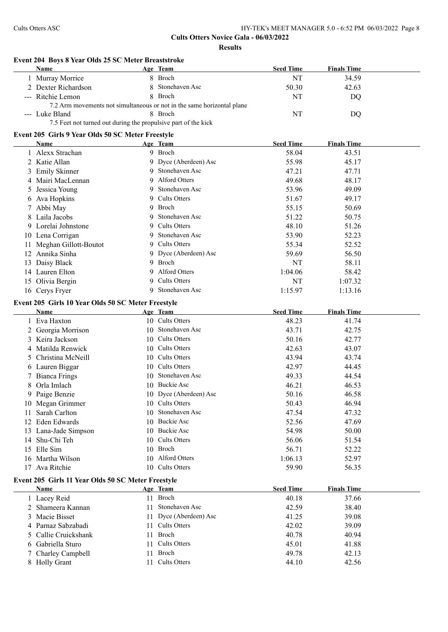# **Event 204 Boys 8 Year Olds 25 SC Meter Breaststroke**

| <b>Name</b>                                                    | Age Team                                                               | <b>Seed Time</b> | <b>Finals Time</b> |
|----------------------------------------------------------------|------------------------------------------------------------------------|------------------|--------------------|
| Murray Morrice                                                 | 8 Broch                                                                | NT               | 34.59              |
| 2 Dexter Richardson                                            | 8 Stonehaven Asc                                                       | 50.30            | 42.63              |
| --- Ritchie Lemon                                              | 8 Broch                                                                | NT               | DO                 |
|                                                                | 7.2 Arm movements not simultaneous or not in the same horizontal plane |                  |                    |
| --- Luke Bland                                                 | 8 Broch                                                                | NT               | DO                 |
| 7.5 Feet not turned out during the propulsive part of the kick |                                                                        |                  |                    |

### **Event 205 Girls 9 Year Olds 50 SC Meter Freestyle**

| Name                     |   | Age Team              | <b>Seed Time</b> | <b>Finals Time</b> |  |
|--------------------------|---|-----------------------|------------------|--------------------|--|
| 1 Alexx Strachan         |   | 9 Broch               | 58.04            | 43.51              |  |
| 2 Katie Allan            |   | 9 Dyce (Aberdeen) Asc | 55.98            | 45.17              |  |
| 3 Emily Skinner          |   | 9 Stonehaven Asc      | 47.21            | 47.71              |  |
| 4 Mairi MacLennan        |   | 9 Alford Otters       | 49.68            | 48.17              |  |
| 5 Jessica Young          |   | 9 Stonehaven Asc      | 53.96            | 49.09              |  |
| 6 Ava Hopkins            |   | 9 Cults Otters        | 51.67            | 49.17              |  |
| 7 Abbi May               |   | 9 Broch               | 55.15            | 50.69              |  |
| 8 Laila Jacobs           |   | 9 Stonehaven Asc      | 51.22            | 50.75              |  |
| 9 Lorelai Johnstone      |   | 9 Cults Otters        | 48.10            | 51.26              |  |
| 10 Lena Corrigan         |   | 9 Stonehaven Asc      | 53.90            | 52.23              |  |
| 11 Meghan Gillott-Boutot |   | 9 Cults Otters        | 55.34            | 52.52              |  |
| 12 Annika Sinha          |   | 9 Dyce (Aberdeen) Asc | 59.69            | 56.50              |  |
| 13 Daisy Black           |   | 9 Broch               | NT               | 58.11              |  |
| 14 Lauren Elton          |   | 9 Alford Otters       | 1:04.06          | 58.42              |  |
| 15 Olivia Bergin         |   | 9 Cults Otters        | NT               | 1:07.32            |  |
| 16 Cerys Fryer           | 9 | Stonehaven Asc        | 1:15.97          | 1:13.16            |  |

# **Event 205 Girls 10 Year Olds 50 SC Meter Freestyle**

|               | Name                                               |     | Age Team               | <b>Seed Time</b> | <b>Finals Time</b> |  |
|---------------|----------------------------------------------------|-----|------------------------|------------------|--------------------|--|
|               | Eva Haxton                                         |     | 10 Cults Otters        | 48.23            | 41.74              |  |
|               | 2 Georgia Morrison                                 | 10  | Stonehaven Asc         | 43.71            | 42.75              |  |
| 3             | Keira Jackson                                      | 10. | Cults Otters           | 50.16            | 42.77              |  |
|               | 4 Matilda Renwick                                  | 10  | Cults Otters           | 42.63            | 43.07              |  |
| $\mathcal{D}$ | Christina McNeill                                  | 10  | Cults Otters           | 43.94            | 43.74              |  |
| 6             | Lauren Biggar                                      | 10  | Cults Otters           | 42.97            | 44.45              |  |
|               | 7 Bianca Frings                                    | 10  | Stonehaven Asc         | 49.33            | 44.54              |  |
| 8             | Orla Imlach                                        | 10  | <b>Buckie Asc</b>      | 46.21            | 46.53              |  |
| 9.            | Paige Benzie                                       |     | 10 Dyce (Aberdeen) Asc | 50.16            | 46.58              |  |
| 10            | Megan Grimmer                                      |     | 10 Cults Otters        | 50.43            | 46.94              |  |
|               | Sarah Carlton                                      | 10  | Stonehaven Asc         | 47.54            | 47.32              |  |
| 12            | Eden Edwards                                       | 10. | Buckie Asc             | 52.56            | 47.69              |  |
| 13            | Lana-Jade Simpson                                  | 10. | Buckie Asc             | 54.98            | 50.00              |  |
| 14            | Shu-Chi Teh                                        | 10. | Cults Otters           | 56.06            | 51.54              |  |
| 15            | Elle Sim                                           | 10  | Broch                  | 56.71            | 52.22              |  |
| 16            | Martha Wilson                                      | 10  | Alford Otters          | 1:06.13          | 52.97              |  |
| 17            | Ava Ritchie                                        | 10  | Cults Otters           | 59.90            | 56.35              |  |
|               | Event 205 Girls 11 Year Olds 50 SC Meter Freestyle |     |                        |                  |                    |  |
|               | Name                                               |     | Age Team               | <b>Seed Time</b> | <b>Finals Time</b> |  |
|               | Lacev Reid                                         | 11  | Broch                  | 40.18            | 37.66              |  |

| <b>Name</b>    |                      | Age Team               | <b>Seed Time</b> | <b>Finals Time</b> |
|----------------|----------------------|------------------------|------------------|--------------------|
| 1 Lacey Reid   |                      | 11 Broch               | 40.18            | 37.66              |
|                | 2 Shameera Kannan    | Stonehaven Asc         | 42.59            | 38.40              |
| 3 Macie Bisset |                      | 11 Dyce (Aberdeen) Asc | 41.25            | 39.08              |
|                | 4 Parnaz Sabzabadi   | 11 Cults Otters        | 42.02            | 39.09              |
|                | 5 Callie Cruickshank | 11 Broch               | 40.78            | 40.94              |
|                | 6 Gabriella Sturo    | 11 Cults Otters        | 45.01            | 41.88              |
|                | 7 Charley Campbell   | 11 Broch               | 49.78            | 42.13              |
| 8 Holly Grant  |                      | Cults Otters           | 44.10            | 42.56              |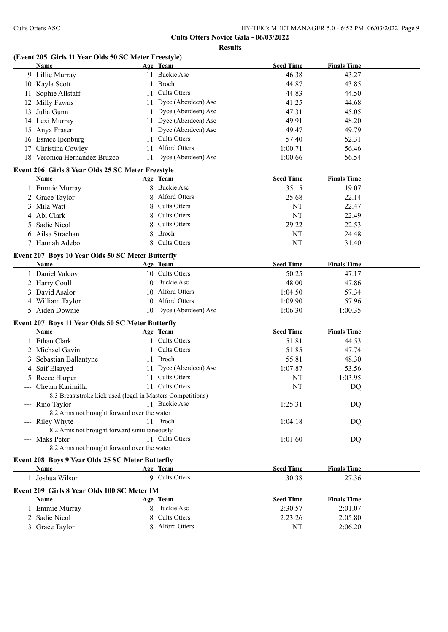# **(Event 205 Girls 11 Year Olds 50 SC Meter Freestyle)**

|    | Name                                                       |    | Age Team               | <b>Seed Time</b> | <b>Finals Time</b> |  |
|----|------------------------------------------------------------|----|------------------------|------------------|--------------------|--|
|    | 9 Lillie Murray                                            |    | 11 Buckie Asc          | 46.38            | 43.27              |  |
|    | 10 Kayla Scott                                             | 11 | Broch                  | 44.87            | 43.85              |  |
| 11 | Sophie Allstaff                                            | 11 | <b>Cults Otters</b>    | 44.83            | 44.50              |  |
| 12 | Milly Fawns                                                | 11 | Dyce (Aberdeen) Asc    | 41.25            | 44.68              |  |
| 13 | Julia Gunn                                                 |    | 11 Dyce (Aberdeen) Asc | 47.31            | 45.05              |  |
|    | 14 Lexi Murray                                             |    | 11 Dyce (Aberdeen) Asc | 49.91            | 48.20              |  |
|    | 15 Anya Fraser                                             |    | 11 Dyce (Aberdeen) Asc | 49.47            | 49.79              |  |
|    | 16 Esmee Ipenburg                                          | 11 | <b>Cults Otters</b>    | 57.40            | 52.31              |  |
| 17 | Christina Cowley                                           | 11 | <b>Alford Otters</b>   | 1:00.71          | 56.46              |  |
|    | 18 Veronica Hernandez Bruzco                               |    | 11 Dyce (Aberdeen) Asc | 1:00.66          | 56.54              |  |
|    |                                                            |    |                        |                  |                    |  |
|    | Event 206 Girls 8 Year Olds 25 SC Meter Freestyle          |    |                        |                  |                    |  |
|    | Name                                                       |    | Age Team               | <b>Seed Time</b> | <b>Finals Time</b> |  |
|    | 1 Emmie Murray                                             |    | 8 Buckie Asc           | 35.15            | 19.07              |  |
|    | 2 Grace Taylor                                             | 8  | Alford Otters          | 25.68            | 22.14              |  |
|    | 3 Mila Watt                                                | 8  | <b>Cults Otters</b>    | NT               | 22.47              |  |
| 4  | Abi Clark                                                  | 8  | <b>Cults Otters</b>    | NT               | 22.49              |  |
| 5  | Sadie Nicol                                                | 8  | <b>Cults Otters</b>    | 29.22            | 22.53              |  |
| 6  | Ailsa Strachan                                             | 8  | Broch                  | NT               | 24.48              |  |
|    | 7 Hannah Adebo                                             | 8  | <b>Cults Otters</b>    | NT               | 31.40              |  |
|    | Event 207 Boys 10 Year Olds 50 SC Meter Butterfly          |    |                        |                  |                    |  |
|    | Name                                                       |    | Age Team               | <b>Seed Time</b> | <b>Finals Time</b> |  |
|    | 1 Daniel Valcov                                            |    | 10 Cults Otters        | 50.25            | 47.17              |  |
|    | 2 Harry Coull                                              |    | 10 Buckie Asc          | 48.00            | 47.86              |  |
|    | 3 David Asalor                                             | 10 | <b>Alford Otters</b>   | 1:04.50          | 57.34              |  |
|    | 4 William Taylor                                           |    | 10 Alford Otters       | 1:09.90          | 57.96              |  |
|    | 5 Aiden Downie                                             |    | 10 Dyce (Aberdeen) Asc | 1:06.30          | 1:00.35            |  |
|    |                                                            |    |                        |                  |                    |  |
|    | Event 207 Boys 11 Year Olds 50 SC Meter Butterfly          |    |                        |                  |                    |  |
|    | Name                                                       |    | Age Team               | <b>Seed Time</b> | <b>Finals Time</b> |  |
|    | 1 Ethan Clark                                              |    | 11 Cults Otters        | 51.81            | 44.53              |  |
|    | 2 Michael Gavin                                            | 11 | <b>Cults Otters</b>    | 51.85            | 47.74              |  |
| 3  | Sebastian Ballantyne                                       |    | 11 Broch               | 55.81            | 48.30              |  |
| 4  | Saif Elsayed                                               |    | 11 Dyce (Aberdeen) Asc | 1:07.87          | 53.56              |  |
|    | 5 Reece Harper                                             |    | 11 Cults Otters        | NT               | 1:03.95            |  |
|    | Chetan Karimilla                                           |    | 11 Cults Otters        | NT               | DQ                 |  |
|    | 8.3 Breaststroke kick used (legal in Masters Competitions) |    |                        |                  |                    |  |
|    | --- Rino Taylor                                            |    | 11 Buckie Asc          | 1:25.31          | DQ                 |  |
|    | 8.2 Arms not brought forward over the water                |    |                        |                  |                    |  |
|    | --- Riley Whyte                                            |    | 11 Broch               | 1:04.18          | DQ                 |  |
|    | 8.2 Arms not brought forward simultaneously                |    |                        |                  |                    |  |
|    | --- Maks Peter                                             |    | 11 Cults Otters        | 1:01.60          | DQ                 |  |
|    | 8.2 Arms not brought forward over the water                |    |                        |                  |                    |  |
|    | Event 208 Boys 9 Year Olds 25 SC Meter Butterfly           |    |                        |                  |                    |  |
|    | Name                                                       |    | Age Team               | <b>Seed Time</b> | <b>Finals Time</b> |  |
|    | 1 Joshua Wilson                                            |    | 9 Cults Otters         | 30.38            | 27.36              |  |
|    |                                                            |    |                        |                  |                    |  |
|    | Event 209 Girls 8 Year Olds 100 SC Meter IM                |    |                        |                  |                    |  |
|    | Name                                                       |    | Age Team               | <b>Seed Time</b> | <b>Finals Time</b> |  |
|    | 1 Emmie Murray                                             |    | 8 Buckie Asc           | 2:30.57          | 2:01.07            |  |
|    | 2 Sadie Nicol                                              |    | 8 Cults Otters         | 2:23.26          | 2:05.80            |  |
|    | 3 Grace Taylor                                             |    | 8 Alford Otters        | NT               | 2:06.20            |  |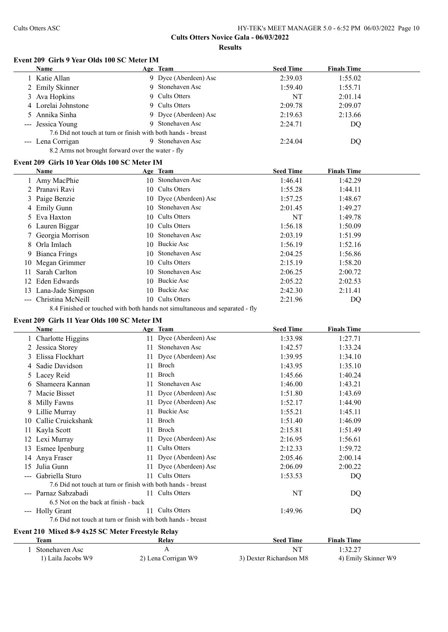#### **Event 209 Girls 9 Year Olds 100 SC Meter IM**

|               | <b>Name</b>                                                  |    | Age Team              | <b>Seed Time</b> | <b>Finals Time</b> |  |
|---------------|--------------------------------------------------------------|----|-----------------------|------------------|--------------------|--|
|               | 1 Katie Allan                                                |    | 9 Dyce (Aberdeen) Asc | 2:39.03          | 1:55.02            |  |
|               | 2 Emily Skinner                                              | 9  | Stonehaven Asc        | 1:59.40          | 1:55.71            |  |
|               | 3 Ava Hopkins                                                |    | 9 Cults Otters        | NT               | 2:01.14            |  |
|               | 4 Lorelai Johnstone                                          |    | 9 Cults Otters        | 2:09.78          | 2:09.07            |  |
|               | Annika Sinha                                                 |    | 9 Dyce (Aberdeen) Asc | 2:19.63          | 2:13.66            |  |
|               | Jessica Young                                                | 9. | Stonehaven Asc        | 2:24.71          | DQ                 |  |
|               | 7.6 Did not touch at turn or finish with both hands - breast |    |                       |                  |                    |  |
|               | --- Lena Corrigan                                            |    | 9 Stonehaven Asc      | 2:24.04          | DQ.                |  |
|               | 8.2 Arms not brought forward over the water - fly            |    |                       |                  |                    |  |
|               | Event 209 Girls 10 Year Olds 100 SC Meter IM                 |    |                       |                  |                    |  |
|               | <b>Name</b>                                                  |    | Age Team              | <b>Seed Time</b> | <b>Finals Time</b> |  |
|               | 1 Amy MacPhie                                                |    | 10 Stonehaven Asc     | 1:46.41          | 1:42.29            |  |
|               | Pranavi Ravi                                                 | 10 | <b>Cults Otters</b>   | 1:55.28          | 1:44.11            |  |
|               | 3 Paige Benzie                                               | 10 | Dyce (Aberdeen) Asc   | 1:57.25          | 1:48.67            |  |
|               | 4 Emily Gunn                                                 | 10 | Stonehaven Asc        | 2:01.45          | 1:49.27            |  |
| $\mathcal{D}$ | Eva Haxton                                                   | 10 | <b>Cults Otters</b>   | NT               | 1:49.78            |  |
| O.            | Lauren Biggar                                                | 10 | <b>Cults Otters</b>   | 1:56.18          | 1:50.09            |  |
|               | Georgia Morrison                                             | 10 | Stonehaven Asc        | 2:03.19          | 1:51.99            |  |
| 8             | Orla Imlach                                                  | 10 | <b>Buckie Asc</b>     | 1:56.19          | 1:52.16            |  |
| 9             | Bianca Frings                                                | 10 | Stonehaven Asc        | 2:04.25          | 1:56.86            |  |
| 10            | Megan Grimmer                                                | 10 | <b>Cults Otters</b>   | 2:15.19          | 1:58.20            |  |
| 11            | Sarah Carlton                                                | 10 | Stonehaven Asc        | 2:06.25          | 2:00.72            |  |
| 12            | Eden Edwards                                                 | 10 | <b>Buckie Asc</b>     | 2:05.22          | 2:02.53            |  |
| 13            | Lana-Jade Simpson                                            | 10 | <b>Buckie Asc</b>     | 2:42.30          | 2:11.41            |  |
|               | --- Christina McNeill                                        |    | 10 Cults Otters       | 2:21.96          | DQ                 |  |

8.4 Finished or touched with both hands not simultaneous and separated - fly

# **Event 209 Girls 11 Year Olds 100 SC Meter IM**

|                                                                                                                                                                                                                                                                                                                                                                                                                                                                            | <b>Name</b>                                                  |     | Age Team               | <b>Seed Time</b> | <b>Finals Time</b> |
|----------------------------------------------------------------------------------------------------------------------------------------------------------------------------------------------------------------------------------------------------------------------------------------------------------------------------------------------------------------------------------------------------------------------------------------------------------------------------|--------------------------------------------------------------|-----|------------------------|------------------|--------------------|
|                                                                                                                                                                                                                                                                                                                                                                                                                                                                            | 1 Charlotte Higgins                                          |     | 11 Dyce (Aberdeen) Asc | 1:33.98          | 1:27.71            |
|                                                                                                                                                                                                                                                                                                                                                                                                                                                                            | Jessica Storey                                               |     | Stonehaven Asc         | 1:42.57          | 1:33.24            |
| 3                                                                                                                                                                                                                                                                                                                                                                                                                                                                          | Elissa Flockhart                                             | 11  | Dyce (Aberdeen) Asc    | 1:39.95          | 1:34.10            |
| 4                                                                                                                                                                                                                                                                                                                                                                                                                                                                          | Sadie Davidson                                               | 11  | Broch                  | 1:43.95          | 1:35.10            |
|                                                                                                                                                                                                                                                                                                                                                                                                                                                                            | 5 Lacey Reid                                                 | 11  | Broch                  | 1:45.66          | 1:40.24            |
| 6                                                                                                                                                                                                                                                                                                                                                                                                                                                                          | Shameera Kannan                                              | 11  | Stonehaven Asc         | 1:46.00          | 1:43.21            |
|                                                                                                                                                                                                                                                                                                                                                                                                                                                                            | Macie Bisset                                                 |     | 11 Dyce (Aberdeen) Asc | 1:51.80          | 1:43.69            |
|                                                                                                                                                                                                                                                                                                                                                                                                                                                                            | 8 Milly Fawns                                                |     | Dyce (Aberdeen) Asc    | 1:52.17          | 1:44.90            |
|                                                                                                                                                                                                                                                                                                                                                                                                                                                                            | 9 Lillie Murray                                              |     | Buckie Asc             | 1:55.21          | 1:45.11            |
| 10.                                                                                                                                                                                                                                                                                                                                                                                                                                                                        | Callie Cruickshank                                           | 11  | Broch                  | 1:51.40          | 1:46.09            |
|                                                                                                                                                                                                                                                                                                                                                                                                                                                                            | 11 Kayla Scott                                               | 11  | <b>Broch</b>           | 2:15.81          | 1:51.49            |
|                                                                                                                                                                                                                                                                                                                                                                                                                                                                            | 12 Lexi Murray                                               |     | Dyce (Aberdeen) Asc    | 2:16.95          | 1:56.61            |
|                                                                                                                                                                                                                                                                                                                                                                                                                                                                            | 13 Esmee Ipenburg                                            | 11  | <b>Cults Otters</b>    | 2:12.33          | 1:59.72            |
|                                                                                                                                                                                                                                                                                                                                                                                                                                                                            | 14 Anya Fraser                                               |     | 11 Dyce (Aberdeen) Asc | 2:05.46          | 2:00.14            |
| 15                                                                                                                                                                                                                                                                                                                                                                                                                                                                         | Julia Gunn                                                   | 11. | Dyce (Aberdeen) Asc    | 2:06.09          | 2:00.22            |
|                                                                                                                                                                                                                                                                                                                                                                                                                                                                            | Gabriella Sturo                                              | 11  | Cults Otters           | 1:53.53          | DQ                 |
|                                                                                                                                                                                                                                                                                                                                                                                                                                                                            | 7.6 Did not touch at turn or finish with both hands - breast |     |                        |                  |                    |
|                                                                                                                                                                                                                                                                                                                                                                                                                                                                            | Parnaz Sabzabadi                                             |     | 11 Cults Otters        | NT               | DQ                 |
|                                                                                                                                                                                                                                                                                                                                                                                                                                                                            | 6.5 Not on the back at finish - back                         |     |                        |                  |                    |
| $\frac{1}{2} \left( \frac{1}{2} \right) \left( \frac{1}{2} \right) \left( \frac{1}{2} \right) \left( \frac{1}{2} \right) \left( \frac{1}{2} \right) \left( \frac{1}{2} \right) \left( \frac{1}{2} \right) \left( \frac{1}{2} \right) \left( \frac{1}{2} \right) \left( \frac{1}{2} \right) \left( \frac{1}{2} \right) \left( \frac{1}{2} \right) \left( \frac{1}{2} \right) \left( \frac{1}{2} \right) \left( \frac{1}{2} \right) \left( \frac{1}{2} \right) \left( \frac$ | <b>Holly Grant</b>                                           | 11  | Cults Otters           | 1:49.96          | DQ                 |
|                                                                                                                                                                                                                                                                                                                                                                                                                                                                            | 7.6 Did not touch at turn or finish with both hands - breast |     |                        |                  |                    |

# **Event 210 Mixed 8-9 4x25 SC Meter Freestyle Relay**

| Team               | Relav               | Seed Time               | <b>Finals Time</b>  |  |
|--------------------|---------------------|-------------------------|---------------------|--|
| Stonehaven Asc     |                     |                         | 1:32.27             |  |
| l) Laila Jacobs W9 | 2) Lena Corrigan W9 | 3) Dexter Richardson M8 | 4) Emily Skinner W9 |  |